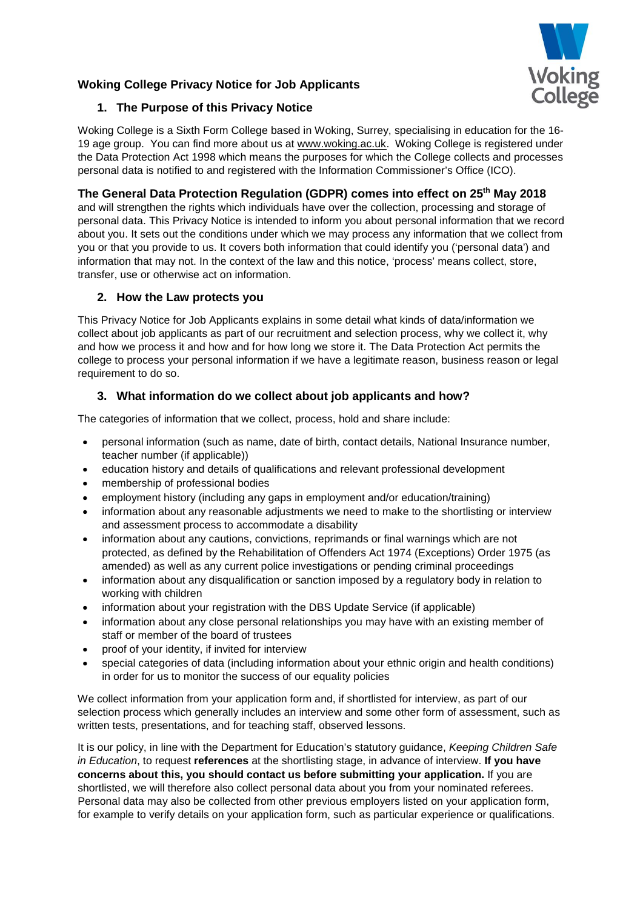



# **1. The Purpose of this Privacy Notice**

Woking College is a Sixth Form College based in Woking, Surrey, specialising in education for the 16- 19 age group. You can find more about us at [www.woking.ac.uk.](http://www.woking.ac.uk/) Woking College is registered under the Data Protection Act 1998 which means the purposes for which the College collects and processes personal data is notified to and registered with the Information Commissioner's Office (ICO).

# **The General Data Protection Regulation (GDPR) comes into effect on 25th May 2018**

and will strengthen the rights which individuals have over the collection, processing and storage of personal data. This Privacy Notice is intended to inform you about personal information that we record about you. It sets out the conditions under which we may process any information that we collect from you or that you provide to us. It covers both information that could identify you ('personal data') and information that may not. In the context of the law and this notice, 'process' means collect, store, transfer, use or otherwise act on information.

## **2. How the Law protects you**

This Privacy Notice for Job Applicants explains in some detail what kinds of data/information we collect about job applicants as part of our recruitment and selection process, why we collect it, why and how we process it and how and for how long we store it. The Data Protection Act permits the college to process your personal information if we have a legitimate reason, business reason or legal requirement to do so.

# **3. What information do we collect about job applicants and how?**

The categories of information that we collect, process, hold and share include:

- personal information (such as name, date of birth, contact details, National Insurance number, teacher number (if applicable))
- education history and details of qualifications and relevant professional development
- membership of professional bodies
- employment history (including any gaps in employment and/or education/training)
- information about any reasonable adjustments we need to make to the shortlisting or interview and assessment process to accommodate a disability
- information about any cautions, convictions, reprimands or final warnings which are not protected, as defined by the Rehabilitation of Offenders Act 1974 (Exceptions) Order 1975 (as amended) as well as any current police investigations or pending criminal proceedings
- information about any disqualification or sanction imposed by a regulatory body in relation to working with children
- information about your registration with the DBS Update Service (if applicable)
- information about any close personal relationships you may have with an existing member of staff or member of the board of trustees
- proof of your identity, if invited for interview
- special categories of data (including information about your ethnic origin and health conditions) in order for us to monitor the success of our equality policies

We collect information from your application form and, if shortlisted for interview, as part of our selection process which generally includes an interview and some other form of assessment, such as written tests, presentations, and for teaching staff, observed lessons.

It is our policy, in line with the Department for Education's statutory guidance, *Keeping Children Safe in Education*, to request **references** at the shortlisting stage, in advance of interview. **If you have concerns about this, you should contact us before submitting your application.** If you are shortlisted, we will therefore also collect personal data about you from your nominated referees. Personal data may also be collected from other previous employers listed on your application form, for example to verify details on your application form, such as particular experience or qualifications.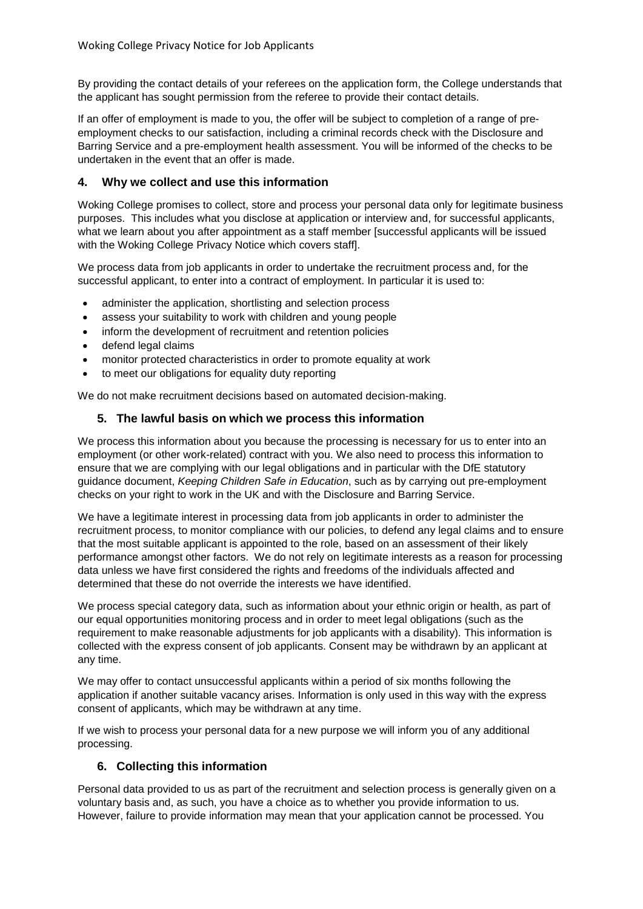By providing the contact details of your referees on the application form, the College understands that the applicant has sought permission from the referee to provide their contact details.

If an offer of employment is made to you, the offer will be subject to completion of a range of preemployment checks to our satisfaction, including a criminal records check with the Disclosure and Barring Service and a pre-employment health assessment. You will be informed of the checks to be undertaken in the event that an offer is made.

#### **4. Why we collect and use this information**

Woking College promises to collect, store and process your personal data only for legitimate business purposes. This includes what you disclose at application or interview and, for successful applicants, what we learn about you after appointment as a staff member [successful applicants will be issued with the Woking College Privacy Notice which covers staff].

We process data from job applicants in order to undertake the recruitment process and, for the successful applicant, to enter into a contract of employment. In particular it is used to:

- administer the application, shortlisting and selection process
- assess your suitability to work with children and young people
- inform the development of recruitment and retention policies
- defend legal claims
- monitor protected characteristics in order to promote equality at work
- to meet our obligations for equality duty reporting

We do not make recruitment decisions based on automated decision-making.

#### **5. The lawful basis on which we process this information**

We process this information about you because the processing is necessary for us to enter into an employment (or other work-related) contract with you. We also need to process this information to ensure that we are complying with our legal obligations and in particular with the DfE statutory guidance document, *Keeping Children Safe in Education*, such as by carrying out pre-employment checks on your right to work in the UK and with the Disclosure and Barring Service.

We have a legitimate interest in processing data from job applicants in order to administer the recruitment process, to monitor compliance with our policies, to defend any legal claims and to ensure that the most suitable applicant is appointed to the role, based on an assessment of their likely performance amongst other factors. We do not rely on legitimate interests as a reason for processing data unless we have first considered the rights and freedoms of the individuals affected and determined that these do not override the interests we have identified.

We process special category data, such as information about your ethnic origin or health, as part of our equal opportunities monitoring process and in order to meet legal obligations (such as the requirement to make reasonable adjustments for job applicants with a disability). This information is collected with the express consent of job applicants. Consent may be withdrawn by an applicant at any time.

We may offer to contact unsuccessful applicants within a period of six months following the application if another suitable vacancy arises. Information is only used in this way with the express consent of applicants, which may be withdrawn at any time.

If we wish to process your personal data for a new purpose we will inform you of any additional processing.

#### **6. Collecting this information**

Personal data provided to us as part of the recruitment and selection process is generally given on a voluntary basis and, as such, you have a choice as to whether you provide information to us. However, failure to provide information may mean that your application cannot be processed. You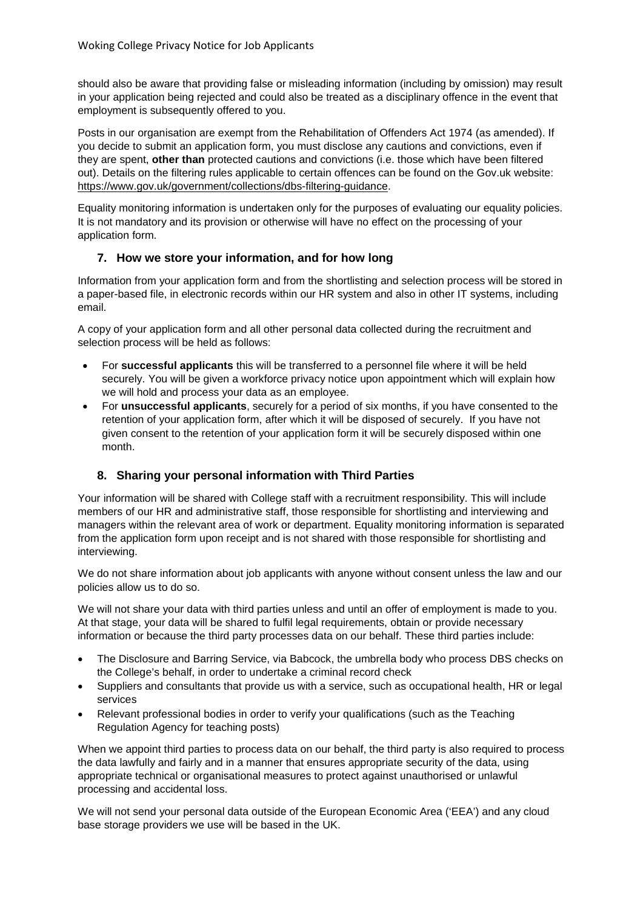should also be aware that providing false or misleading information (including by omission) may result in your application being rejected and could also be treated as a disciplinary offence in the event that employment is subsequently offered to you.

Posts in our organisation are exempt from the Rehabilitation of Offenders Act 1974 (as amended). If you decide to submit an application form, you must disclose any cautions and convictions, even if they are spent, **other than** protected cautions and convictions (i.e. those which have been filtered out). Details on the filtering rules applicable to certain offences can be found on the Gov.uk website: [https://www.gov.uk/government/collections/dbs-filtering-guidance.](https://www.gov.uk/government/collections/dbs-filtering-guidance)

Equality monitoring information is undertaken only for the purposes of evaluating our equality policies. It is not mandatory and its provision or otherwise will have no effect on the processing of your application form.

#### **7. How we store your information, and for how long**

Information from your application form and from the shortlisting and selection process will be stored in a paper-based file, in electronic records within our HR system and also in other IT systems, including email.

A copy of your application form and all other personal data collected during the recruitment and selection process will be held as follows:

- For **successful applicants** this will be transferred to a personnel file where it will be held securely. You will be given a workforce privacy notice upon appointment which will explain how we will hold and process your data as an employee.
- For **unsuccessful applicants**, securely for a period of six months, if you have consented to the retention of your application form, after which it will be disposed of securely. If you have not given consent to the retention of your application form it will be securely disposed within one month.

#### **8. Sharing your personal information with Third Parties**

Your information will be shared with College staff with a recruitment responsibility. This will include members of our HR and administrative staff, those responsible for shortlisting and interviewing and managers within the relevant area of work or department. Equality monitoring information is separated from the application form upon receipt and is not shared with those responsible for shortlisting and interviewing.

We do not share information about job applicants with anyone without consent unless the law and our policies allow us to do so.

We will not share your data with third parties unless and until an offer of employment is made to you. At that stage, your data will be shared to fulfil legal requirements, obtain or provide necessary information or because the third party processes data on our behalf. These third parties include:

- The Disclosure and Barring Service, via Babcock, the umbrella body who process DBS checks on the College's behalf, in order to undertake a criminal record check
- Suppliers and consultants that provide us with a service, such as occupational health, HR or legal services
- Relevant professional bodies in order to verify your qualifications (such as the Teaching Regulation Agency for teaching posts)

When we appoint third parties to process data on our behalf, the third party is also required to process the data lawfully and fairly and in a manner that ensures appropriate security of the data, using appropriate technical or organisational measures to protect against unauthorised or unlawful processing and accidental loss.

We will not send your personal data outside of the European Economic Area ('EEA') and any cloud base storage providers we use will be based in the UK.